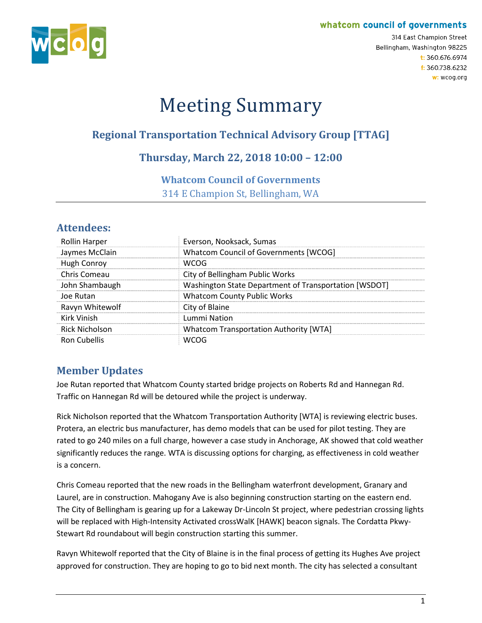#### whatcom council of governments



314 East Champion Street Bellingham, Washington 98225 t: 360.676.6974 f: 360.738.6232 w: wcog.org

# Meeting Summary

## **Regional Transportation Technical Advisory Group [TTAG]**

## **Thursday, March 22, 2018 10:00 – 12:00**

#### **Whatcom Council of Governments**

314 E Champion St, Bellingham, WA

## **Attendees:**

| <b>Rollin Harper</b>  | Everson, Nooksack, Sumas                              |
|-----------------------|-------------------------------------------------------|
| Jaymes McClain        | Whatcom Council of Governments [WCOG]                 |
| Hugh Conroy           | WCOG                                                  |
| Chris Comeau          | City of Bellingham Public Works                       |
| John Shambaugh        | Washington State Department of Transportation [WSDOT] |
| Joe Rutan             | <b>Whatcom County Public Works</b>                    |
| Ravyn Whitewolf       | City of Blaine                                        |
| Kirk Vinish           | Lummi Nation                                          |
| <b>Rick Nicholson</b> | Whatcom Transportation Authority [WTA]                |
| Ron Cubellis          |                                                       |

## **Member Updates**

Joe Rutan reported that Whatcom County started bridge projects on Roberts Rd and Hannegan Rd. Traffic on Hannegan Rd will be detoured while the project is underway.

Rick Nicholson reported that the Whatcom Transportation Authority [WTA] is reviewing electric buses. Protera, an electric bus manufacturer, has demo models that can be used for pilot testing. They are rated to go 240 miles on a full charge, however a case study in Anchorage, AK showed that cold weather significantly reduces the range. WTA is discussing options for charging, as effectiveness in cold weather is a concern.

Chris Comeau reported that the new roads in the Bellingham waterfront development, Granary and Laurel, are in construction. Mahogany Ave is also beginning construction starting on the eastern end. The City of Bellingham is gearing up for a Lakeway Dr-Lincoln St project, where pedestrian crossing lights will be replaced with High-Intensity Activated crossWalK [HAWK] beacon signals. The Cordatta Pkwy-Stewart Rd roundabout will begin construction starting this summer.

Ravyn Whitewolf reported that the City of Blaine is in the final process of getting its Hughes Ave project approved for construction. They are hoping to go to bid next month. The city has selected a consultant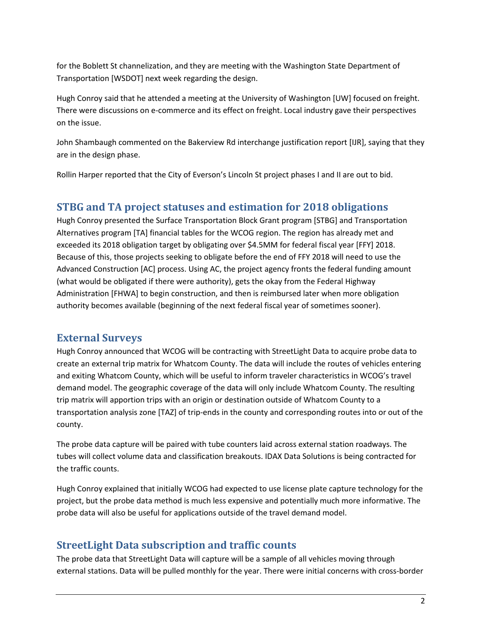for the Boblett St channelization, and they are meeting with the Washington State Department of Transportation [WSDOT] next week regarding the design.

Hugh Conroy said that he attended a meeting at the University of Washington [UW] focused on freight. There were discussions on e-commerce and its effect on freight. Local industry gave their perspectives on the issue.

John Shambaugh commented on the Bakerview Rd interchange justification report [IJR], saying that they are in the design phase.

Rollin Harper reported that the City of Everson's Lincoln St project phases I and II are out to bid.

#### **STBG and TA project statuses and estimation for 2018 obligations**

Hugh Conroy presented the Surface Transportation Block Grant program [STBG] and Transportation Alternatives program [TA] financial tables for the WCOG region. The region has already met and exceeded its 2018 obligation target by obligating over \$4.5MM for federal fiscal year [FFY] 2018. Because of this, those projects seeking to obligate before the end of FFY 2018 will need to use the Advanced Construction [AC] process. Using AC, the project agency fronts the federal funding amount (what would be obligated if there were authority), gets the okay from the Federal Highway Administration [FHWA] to begin construction, and then is reimbursed later when more obligation authority becomes available (beginning of the next federal fiscal year of sometimes sooner).

#### **External Surveys**

Hugh Conroy announced that WCOG will be contracting with StreetLight Data to acquire probe data to create an external trip matrix for Whatcom County. The data will include the routes of vehicles entering and exiting Whatcom County, which will be useful to inform traveler characteristics in WCOG's travel demand model. The geographic coverage of the data will only include Whatcom County. The resulting trip matrix will apportion trips with an origin or destination outside of Whatcom County to a transportation analysis zone [TAZ] of trip-ends in the county and corresponding routes into or out of the county.

The probe data capture will be paired with tube counters laid across external station roadways. The tubes will collect volume data and classification breakouts. IDAX Data Solutions is being contracted for the traffic counts.

Hugh Conroy explained that initially WCOG had expected to use license plate capture technology for the project, but the probe data method is much less expensive and potentially much more informative. The probe data will also be useful for applications outside of the travel demand model.

#### **StreetLight Data subscription and traffic counts**

The probe data that StreetLight Data will capture will be a sample of all vehicles moving through external stations. Data will be pulled monthly for the year. There were initial concerns with cross-border